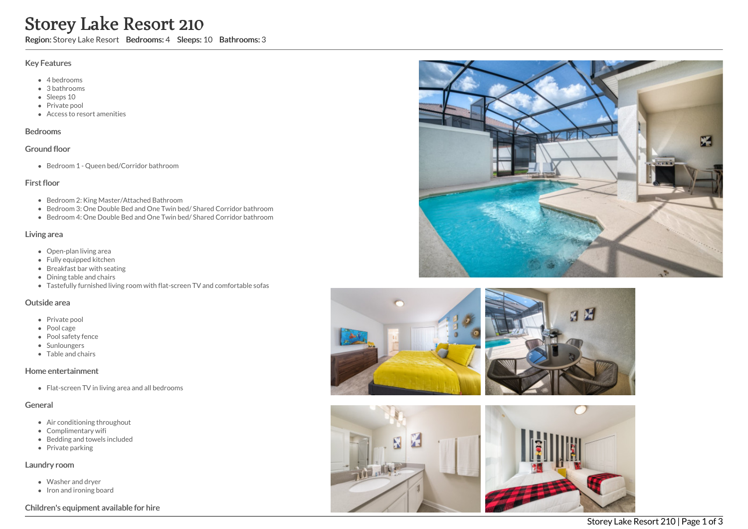# Storey Lake Resort 210

Region: Storey Lake Resort Bedrooms: 4 Sleeps: 10 Bathrooms: 3

### Key Features

- 4 b e d r o o m s
- 3 b a t h r o o m s
- Sleeps 10
- Private pool
- Access to resort amenities

## **Bedrooms**

#### Ground floor

Bedroom 1 - Queen bed/Corridor bathroom

## First floor

- Bedroom 2: King Master/Attached Bathroom
- Bedroom 3: One Double Bed and One Twin bed/ Shared Corridor bathroom
- Bedroom 4: One Double Bed and One Twin bed/ Shared Corridor bathroom

### Living area

- Open-plan living area
- Fully equipped kitchen
- Breakfast bar with seating
- Dining table and chairs
- Tastefully furnished living room with flat-screen TV and comfortable sofas

### Outside area

- Private pool
- Pool cage
- Pool safety fence
- **Sunloungers**
- T a ble a n d c h air s

## Home entertainment

Flat-screen TV in living area and all bedrooms

## General

- Air conditioning throughout
- Complimentary wifi
- Bedding and towels in clu d e d
- Private parking

### Laundry room

- Washer and dryer
- Iron and ironing board

## Children's equipment available for hire







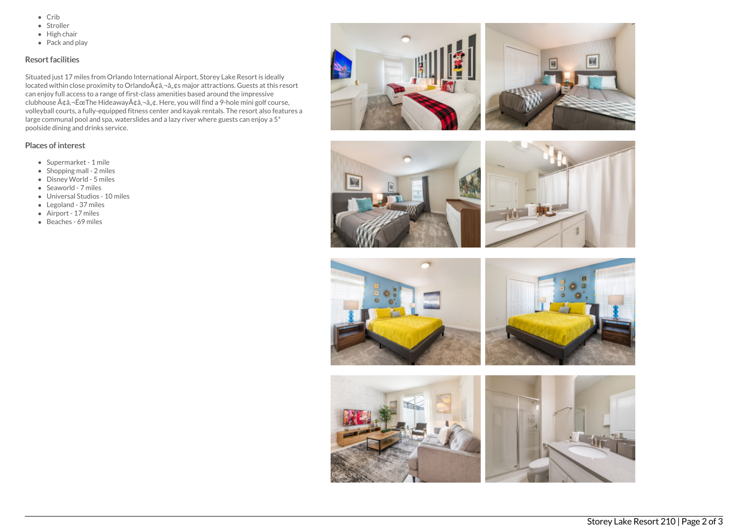- $\bullet$  Crib
- Stroller
- $\bullet$  High chair
- Pack and play

# Resort facilities

Situated just 17 miles from Orlando International Airport, Storey Lake Resort is ideally located within close proximity to Orlando ââ, ¬â, ¢s major attractions. Guests at this resort can enjoy full access to a range of first-class amenities based around the impressive clubhouse  $A\phi$ â, - ËœThe Hideaway $A\phi$ â, - â, ¢. Here, you will find a 9-hole mini golf course, volleyball courts, a fully-equipped fitness center and kayak rentals. The resort also features a large communal pool and spa, waterslides and a lazy river where guests can enjoy a 5\* poolside dining and drinks service.

## Places of interest

- Supermarket 1 mile
- $\bullet$  Shopping mall 2 miles
- Disney World 5 miles
- Seaworld 7 miles
- Universal Studios 10 miles
- Legoland 37 miles
- Airport 17 miles
- Beaches 69 miles